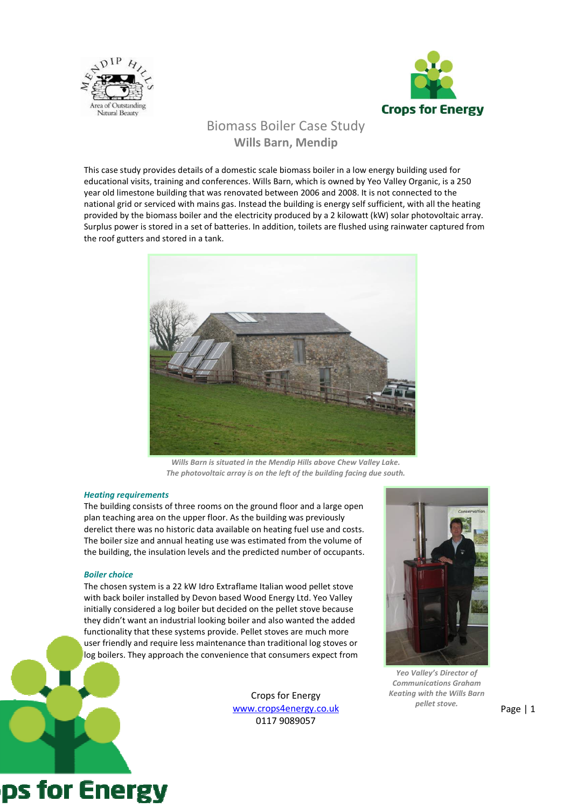



# Biomass Boiler Case Study Wills Barn, Mendip

This case study provides details of a domestic scale biomass boiler in a low energy building used for educational visits, training and conferences. Wills Barn, which is owned by Yeo Valley Organic, is a 250 year old limestone building that was renovated between 2006 and 2008. It is not connected to the national grid or serviced with mains gas. Instead the building is energy self sufficient, with all the heating provided by the biomass boiler and the electricity produced by a 2 kilowatt (kW) solar photovoltaic array. Surplus power is stored in a set of batteries. In addition, toilets are flushed using rainwater captured from the roof gutters and stored in a tank.



Wills Barn is situated in the Mendip Hills above Chew Valley Lake. The photovoltaic array is on the left of the building facing due south.

### Heating requirements

The building consists of three rooms on the ground floor and a large open plan teaching area on the upper floor. As the building was previously derelict there was no historic data available on heating fuel use and costs. The boiler size and annual heating use was estimated from the volume of the building, the insulation levels and the predicted number of occupants.

### Boiler choice

ps for Energy

The chosen system is a 22 kW Idro Extraflame Italian wood pellet stove with back boiler installed by Devon based Wood Energy Ltd. Yeo Valley initially considered a log boiler but decided on the pellet stove because they didn't want an industrial looking boiler and also wanted the added functionality that these systems provide. Pellet stoves are much more user friendly and require less maintenance than traditional log stoves or log boilers. They approach the convenience that consumers expect from

> Crops for Energy www.crops4energy.co.uk 0117 9089057



Yeo Valley's Director of Communications Graham Keating with the Wills Barn pellet stove.

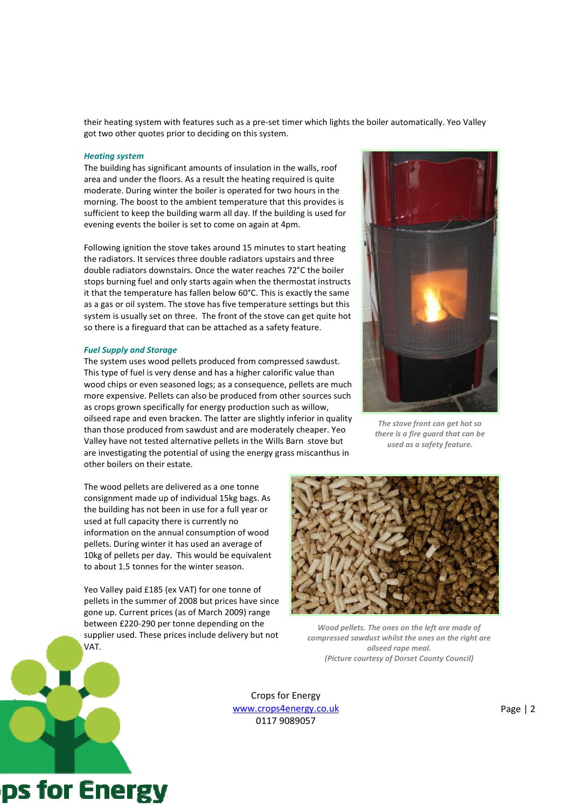their heating system with features such as a pre-set timer which lights the boiler automatically. Yeo Valley got two other quotes prior to deciding on this system.

#### Heating system

The building has significant amounts of insulation in the walls, roof area and under the floors. As a result the heating required is quite moderate. During winter the boiler is operated for two hours in the morning. The boost to the ambient temperature that this provides is sufficient to keep the building warm all day. If the building is used for evening events the boiler is set to come on again at 4pm.

Following ignition the stove takes around 15 minutes to start heating the radiators. It services three double radiators upstairs and three double radiators downstairs. Once the water reaches 72°C the boiler stops burning fuel and only starts again when the thermostat instructs it that the temperature has fallen below 60°C. This is exactly the same as a gas or oil system. The stove has five temperature settings but this system is usually set on three. The front of the stove can get quite hot so there is a fireguard that can be attached as a safety feature.

## Fuel Supply and Storage

ps for Energy

The system uses wood pellets produced from compressed sawdust. This type of fuel is very dense and has a higher calorific value than wood chips or even seasoned logs; as a consequence, pellets are much more expensive. Pellets can also be produced from other sources such as crops grown specifically for energy production such as willow, oilseed rape and even bracken. The latter are slightly inferior in quality than those produced from sawdust and are moderately cheaper. Yeo Valley have not tested alternative pellets in the Wills Barn stove but are investigating the potential of using the energy grass miscanthus in other boilers on their estate.

The wood pellets are delivered as a one tonne consignment made up of individual 15kg bags. As the building has not been in use for a full year or used at full capacity there is currently no information on the annual consumption of wood pellets. During winter it has used an average of 10kg of pellets per day. This would be equivalent to about 1.5 tonnes for the winter season.

Yeo Valley paid £185 (ex VAT) for one tonne of pellets in the summer of 2008 but prices have since gone up. Current prices (as of March 2009) range between £220-290 per tonne depending on the supplier used. These prices include delivery but not VAT.



The stove front can get hot so there is a fire guard that can be used as a safety feature.



Wood pellets. The ones on the left are made of compressed sawdust whilst the ones on the right are oilseed rape meal. (Picture courtesy of Dorset County Council)

Crops for Energy www.crops4energy.co.uk 0117 9089057

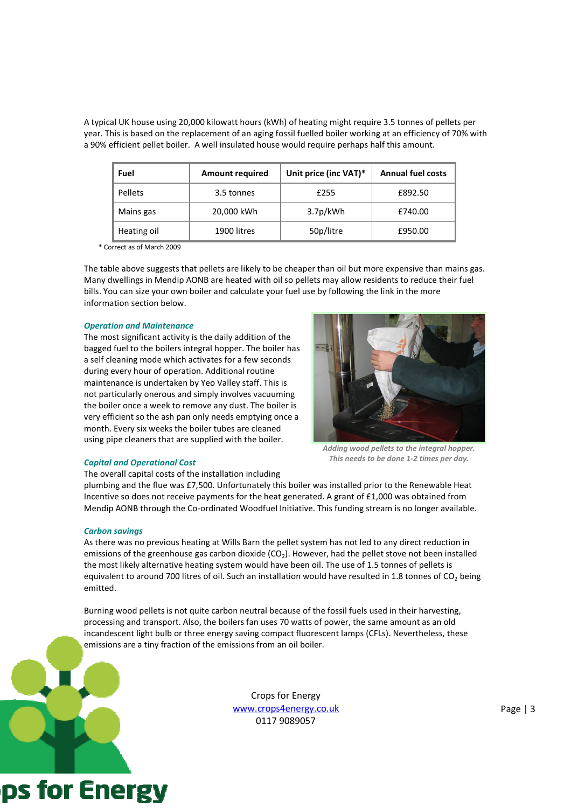A typical UK house using 20,000 kilowatt hours (kWh) of heating might require 3.5 tonnes of pellets per year. This is based on the replacement of an aging fossil fuelled boiler working at an efficiency of 70% with a 90% efficient pellet boiler. A well insulated house would require perhaps half this amount.

| Fuel           | <b>Amount required</b> | Unit price (inc VAT)* | <b>Annual fuel costs</b> |
|----------------|------------------------|-----------------------|--------------------------|
| <b>Pellets</b> | 3.5 tonnes             | £255                  | £892.50                  |
| Mains gas      | 20,000 kWh             | 3.7p/kWh              | £740.00                  |
| Heating oil    | 1900 litres            | 50p/litre             | £950.00                  |

\* Correct as of March 2009

The table above suggests that pellets are likely to be cheaper than oil but more expensive than mains gas. Many dwellings in Mendip AONB are heated with oil so pellets may allow residents to reduce their fuel bills. You can size your own boiler and calculate your fuel use by following the link in the more information section below.

### Operation and Maintenance

The most significant activity is the daily addition of the bagged fuel to the boilers integral hopper. The boiler has a self cleaning mode which activates for a few seconds during every hour of operation. Additional routine maintenance is undertaken by Yeo Valley staff. This is not particularly onerous and simply involves vacuuming the boiler once a week to remove any dust. The boiler is very efficient so the ash pan only needs emptying once a month. Every six weeks the boiler tubes are cleaned using pipe cleaners that are supplied with the boiler.



Adding wood pellets to the integral hopper. This needs to be done 1-2 times per day.

### Capital and Operational Cost

The overall capital costs of the installation including

plumbing and the flue was £7,500. Unfortunately this boiler was installed prior to the Renewable Heat Incentive so does not receive payments for the heat generated. A grant of £1,000 was obtained from Mendip AONB through the Co-ordinated Woodfuel Initiative. This funding stream is no longer available.

### Carbon savings

ps for Energy

As there was no previous heating at Wills Barn the pellet system has not led to any direct reduction in emissions of the greenhouse gas carbon dioxide  $(CO<sub>2</sub>)$ . However, had the pellet stove not been installed the most likely alternative heating system would have been oil. The use of 1.5 tonnes of pellets is equivalent to around 700 litres of oil. Such an installation would have resulted in 1.8 tonnes of  $CO<sub>2</sub>$  being emitted.

Burning wood pellets is not quite carbon neutral because of the fossil fuels used in their harvesting, processing and transport. Also, the boilers fan uses 70 watts of power, the same amount as an old incandescent light bulb or three energy saving compact fluorescent lamps (CFLs). Nevertheless, these emissions are a tiny fraction of the emissions from an oil boiler.

> Crops for Energy www.crops4energy.co.uk 0117 9089057